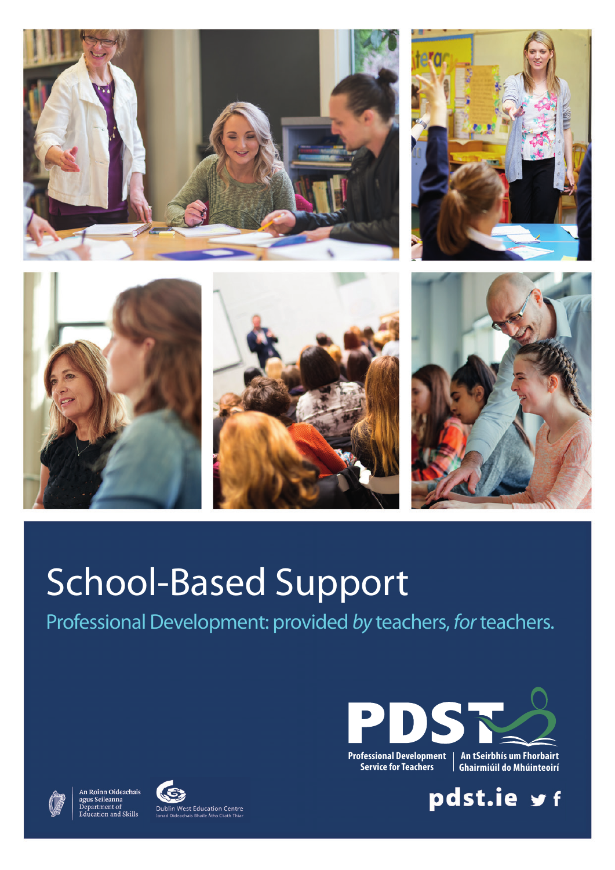









# School-Based Support

Professional Development: provided *by* teachers, *for*teachers.









**Professional Development Service for Teachers**

**An tSeirbhís um Fhorbairt Ghairmiúil do Mhúinteoirí** 

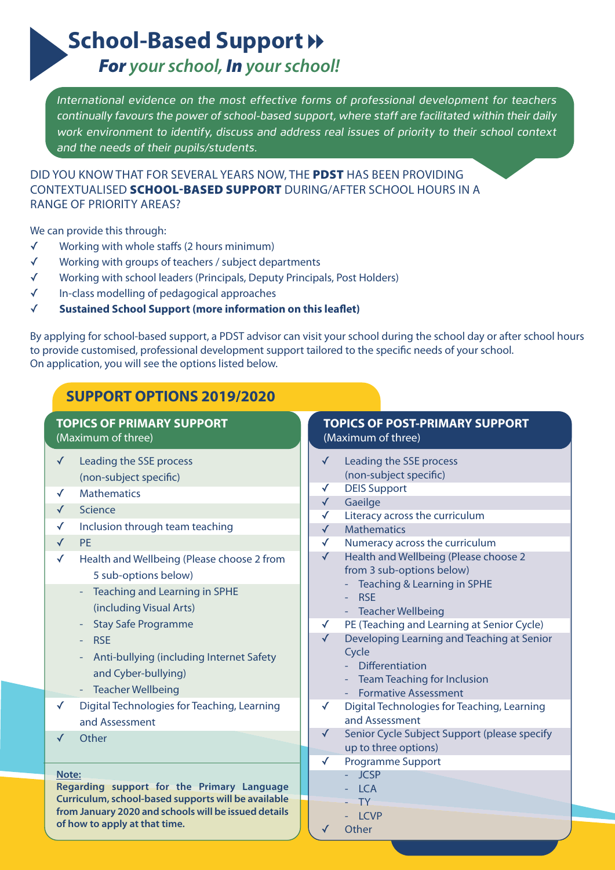**School-Based Support >>** 

*For your school, In your school!*

*International evidence on the most effective forms of professional development for teachers continually favours the power of school-based support, where staff are facilitated within their daily work environment to identify, discuss and address real issues of priority to their school context and the needs of their pupils/students.* 

DID YOu kNOW THAT FOR SEVERAL YEARS NOW, THE **PDST** HAS BEEN PROVIDING CONTExTuALISED **SCHOOL-BASED SUPPORT** DuRING/AFTER SCHOOL HOuRS IN A RANGE OF PRIORITY AREAS?

We can provide this through:

- ✓ Working with whole staffs (2 hours minimum)
- ✓ Working with groups of teachers / subject departments
- ✓ Working with school leaders (Principals, Deputy Principals, Post Holders)
- ✓ In-class modelling of pedagogical approaches
- ✓ **sustained school support (more information on this leaflet)**

By applying for school-based support, a PDST advisor can visit your school during the school day or after school hours to provide customised, professional development support tailored to the specific needs of your school. On application, you will see the options listed below.

### **support options 2019/2020**

#### **Note: Regarding support for the Primary Language Curriculum, school-based supports will be available from January 2020 and schools will be issued details of how to apply at that time. topics of primary support** (Maximum of three) **topics of post-primary support** (Maximum of three) ✓ Leading the SSE process (non-subject specific) ✓ Mathematics ✓ Science ✓ Inclusion through team teaching ✓ PE ✓ Health and Wellbeing (Please choose 2 from 5 sub-options below) - Teaching and Learning in SPHE (including Visual Arts) - Stay Safe Programme - RSE - Anti-bullying (including Internet Safety and Cyber-bullying) - Teacher Wellbeing ✓ Digital Technologies for Teaching, Learning and Assessment ✓ Other ✓ Leading the SSE process (non-subject specific) ✓ DEIS Support **Gaeilge** ✓ Literacy across the curriculum **Mathematics** ✓ Numeracy across the curriculum ✓ Health and Wellbeing (Please choose 2 from 3 sub-options below) - Teaching & Learning in SPHE - RSE - Teacher Wellbeing ✓ PE (Teaching and Learning at Senior Cycle) ✓ Developing Learning and Teaching at Senior **Cycle**  - Differentiation - Team Teaching for Inclusion - Formative Assessment ✓ Digital Technologies for Teaching, Learning and Assessment ✓ Senior Cycle Subject Support (please specify up to three options) ✓ Programme Support - JCSP - LCA - TY - LCVP **Other**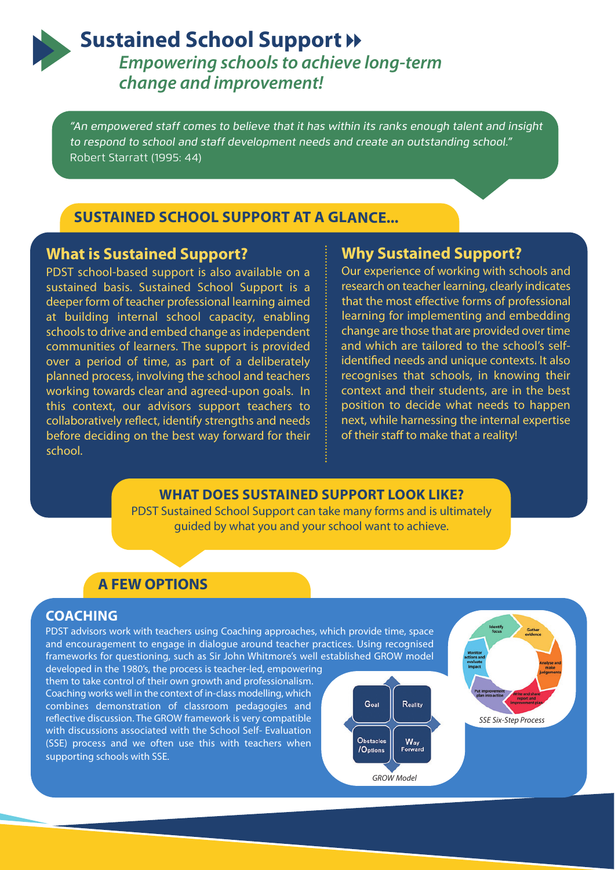## **Sustained School Support »**

*Empowering schools to achieve long-term change and improvement!*

*"An empowered staff comes to believe that it has within its ranks enough talent and insight to respond to school and staff development needs and create an outstanding school."* Robert Starratt (1995: 44)

#### **sustained school support at a glance...**

#### **What is sustained support?**

PDST school-based support is also available on a sustained basis. Sustained School Support is a deeper form of teacher professional learning aimed at building internal school capacity, enabling schools to drive and embed change as independent communities of learners. The support is provided over a period of time, as part of a deliberately planned process, involving the school and teachers working towards clear and agreed-upon goals. In this context, our advisors support teachers to collaboratively reflect, identify strengths and needs before deciding on the best way forward for their school.

### **Why sustained support?**

Our experience of working with schools and research on teacher learning, clearly indicates that the most effective forms of professional learning for implementing and embedding change are those that are provided over time and which are tailored to the school's selfidentified needs and unique contexts. It also recognises that schools, in knowing their context and their students, are in the best position to decide what needs to happen next, while harnessing the internal expertise of their staff to make that a reality!

#### **What does sustained support look like?**

PDST Sustained School Support can take many forms and is ultimately guided by what you and your school want to achieve.

#### **a feW options**

#### **coaching**

PDST advisors work with teachers using Coaching approaches, which provide time, space and encouragement to engage in dialogue around teacher practices. Using recognised frameworks for questioning, such as Sir John Whitmore's well established GROW model developed in the 1980's, the process is teacher-led, empowering

them to take control of their own growth and professionalism. Coaching works well in the context of in-class modelling, which combines demonstration of classroom pedagogies and reflective discussion. The GROW framework is very compatible with discussions associated with the School Self- Evaluation (SSE) process and we often use this with teachers when supporting schools with SSE.